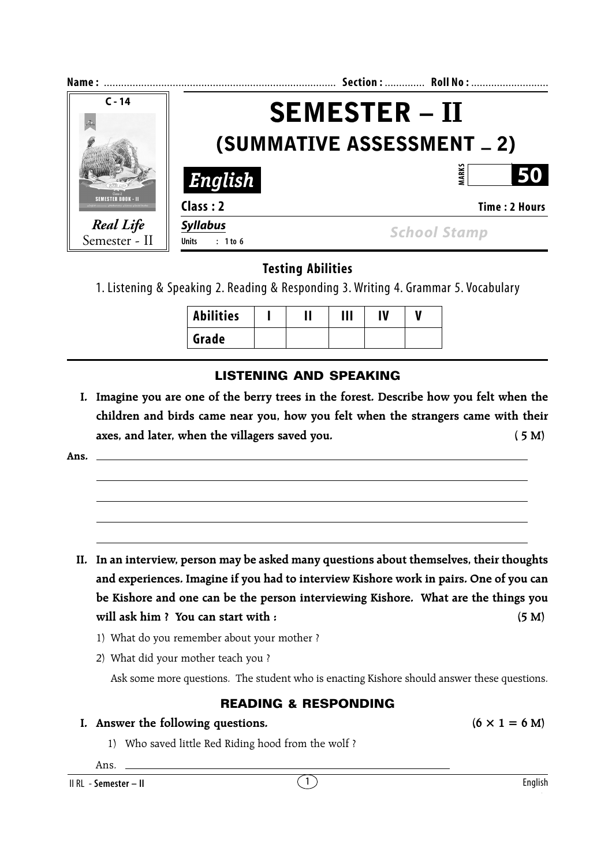| Name:                             |                                     | Section:  Roll No:   |  |
|-----------------------------------|-------------------------------------|----------------------|--|
| $C - 14$                          |                                     | <b>SEMESTER – II</b> |  |
|                                   | (SUMMATIVE ASSESSMENT _ 2)          |                      |  |
|                                   | English                             | <b>MARK</b><br>50    |  |
| SEMESTER BOOK – II                | Class: 2                            | <b>Time: 2 Hours</b> |  |
| <b>Real Life</b><br>Semester - II | <b>Syllabus</b><br>Units $: 1$ to 6 | <b>School Stamp</b>  |  |

# **Testing Abilities**

1. Listening & Speaking 2. Reading & Responding 3. Writing 4. Grammar 5. Vocabulary

| <b>Abilities</b> |  | Ш | IV |  |
|------------------|--|---|----|--|
| Grade            |  |   |    |  |

# **LISTENING AND SPEAKING**

**I. Imagine you are one of the berry trees in the forest. Describe how you felt when the children and birds came near you, how you felt when the strangers came with their axes, and later, when the villagers saved you. ( 5 M)**

**Ans.**

- **II. In an interview, person may be asked many questions about themselves, their thoughts and experiences. Imagine if you had to interview Kishore work in pairs. One of you can be Kishore and one can be the person interviewing Kishore. What are the things you** will ask him ? You can start with : (5 M)
	- 1) What do you remember about your mother ?
	- 2) What did your mother teach you ?

Ask some more questions. The student who is enacting Kishore should answer these questions.

### **READING & RESPONDING**

- **I.** Answer the following questions.  $(6 \times 1 = 6 \text{ M})$ 
	- 1) Who saved little Red Riding hood from the wolf ?

Ans.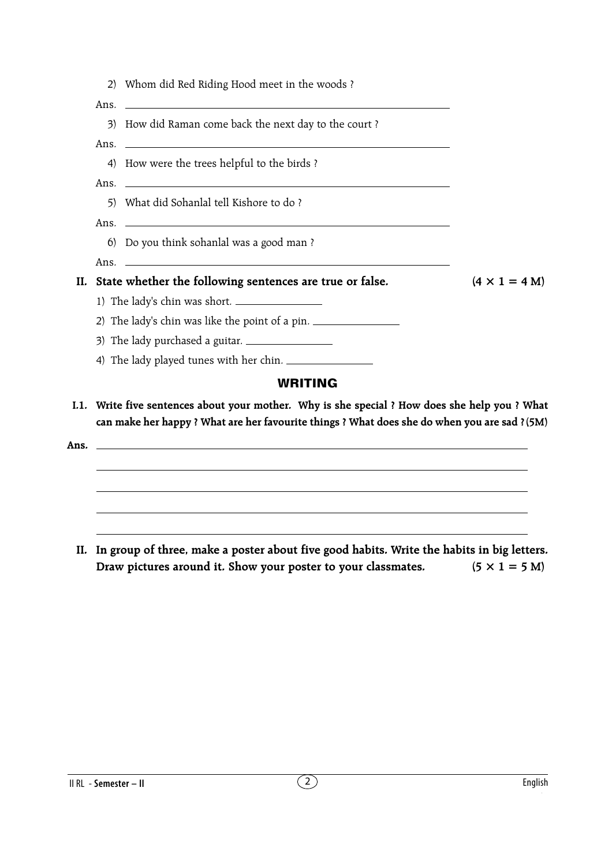|     |      | 2) Whom did Red Riding Hood meet in the woods?                                                                                                                                                                                       |                      |
|-----|------|--------------------------------------------------------------------------------------------------------------------------------------------------------------------------------------------------------------------------------------|----------------------|
|     | Ans. | <u> 1989 - Johann Harry Harry Harry Harry Harry Harry Harry Harry Harry Harry Harry Harry Harry Harry Harry Harry</u>                                                                                                                |                      |
|     |      | 3) How did Raman come back the next day to the court?                                                                                                                                                                                |                      |
|     | Ans. | <u> 1990 - Jan Alexander de Carlos de Carlos de Carlos de Carlos de Carlos de Carlos de Carlos de Carlos de Carlos </u>                                                                                                              |                      |
|     |      | 4) How were the trees helpful to the birds?                                                                                                                                                                                          |                      |
|     |      |                                                                                                                                                                                                                                      |                      |
|     |      | 5) What did Sohanlal tell Kishore to do?                                                                                                                                                                                             |                      |
|     |      |                                                                                                                                                                                                                                      |                      |
|     |      | 6) Do you think sohanlal was a good man?                                                                                                                                                                                             |                      |
|     | Ans. | <u> 1999 - Johann Harry Harry Harry Harry Harry Harry Harry Harry Harry Harry Harry Harry Harry Harry Harry Harry Harry Harry Harry Harry Harry Harry Harry Harry Harry Harry Harry Harry Harry Harry Harry Harry Harry Harry Ha</u> |                      |
| II. |      | State whether the following sentences are true or false.                                                                                                                                                                             | $(4 \times 1 = 4 M)$ |
|     |      |                                                                                                                                                                                                                                      |                      |
|     |      | 2) The lady's chin was like the point of a pin.                                                                                                                                                                                      |                      |
|     |      | 3) The lady purchased a guitar. $\frac{1}{2}$                                                                                                                                                                                        |                      |
|     |      | 4) The lady played tunes with her chin.                                                                                                                                                                                              |                      |
|     |      | WRITING                                                                                                                                                                                                                              |                      |
|     |      | .1. Write five sentences about your mother. Why is she special ? How does she help you ? What                                                                                                                                        |                      |

**I.1. Write five sentences about your mother. Why is she special ? How does she help you ? What can make her happy ? What are her favourite things ? What does she do when you are sad ?(5M)**

**Ans.**

**II. In group of three, make a poster about five good habits. Write the habits in big letters.** Draw pictures around it. Show your poster to your classmates.  $(5 \times 1 = 5 \text{ M})$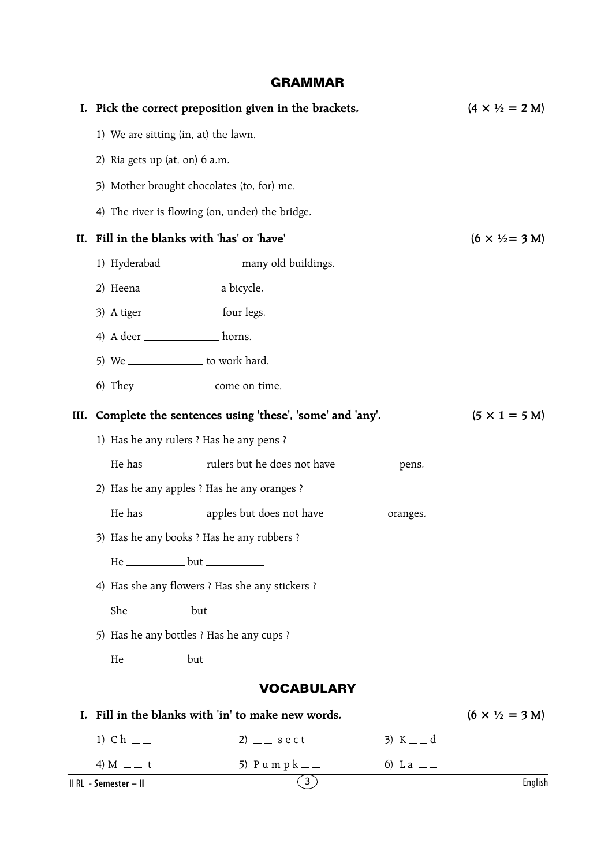## **GRAMMAR**

|      |                                            | I. Pick the correct preposition given in the brackets.                 |            | $(4 \times \frac{1}{2} = 2 M)$         |
|------|--------------------------------------------|------------------------------------------------------------------------|------------|----------------------------------------|
|      |                                            | 1) We are sitting (in, at) the lawn.                                   |            |                                        |
|      | 2) Ria gets up $(at, on)$ 6 a.m.           |                                                                        |            |                                        |
|      | 3) Mother brought chocolates (to, for) me. |                                                                        |            |                                        |
|      |                                            | 4) The river is flowing (on, under) the bridge.                        |            |                                        |
| II.  |                                            | Fill in the blanks with 'has' or 'have'                                |            | $(6 \times \frac{1}{2} = 3 \text{ M})$ |
|      |                                            | 1) Hyderabad _______________ many old buildings.                       |            |                                        |
|      |                                            |                                                                        |            |                                        |
|      |                                            | 3) A tiger _________________ four legs.                                |            |                                        |
|      |                                            | 4) A deer ______________ horns.                                        |            |                                        |
|      |                                            | 5) We _________________ to work hard.                                  |            |                                        |
|      |                                            | 6) They ____________________ come on time.                             |            |                                        |
| III. |                                            | Complete the sentences using 'these', 'some' and 'any'.                |            | $(5 \times 1 = 5 \text{ M})$           |
|      |                                            | 1) Has he any rulers ? Has he any pens ?                               |            |                                        |
|      |                                            | He has _____________ rulers but he does not have _____________ pens.   |            |                                        |
|      |                                            | 2) Has he any apples ? Has he any oranges ?                            |            |                                        |
|      |                                            | He has ______________ apples but does not have ______________ oranges. |            |                                        |
|      |                                            | 3) Has he any books ? Has he any rubbers ?                             |            |                                        |
|      |                                            | He ______________ but ________                                         |            |                                        |
|      |                                            | 4) Has she any flowers ? Has she any stickers ?                        |            |                                        |
|      |                                            | She ________________ but _____________                                 |            |                                        |
|      |                                            | 5) Has he any bottles ? Has he any cups ?                              |            |                                        |
|      |                                            | He _____________ but ____________                                      |            |                                        |
|      |                                            | <b>VOCABULARY</b>                                                      |            |                                        |
| I.   |                                            | Fill in the blanks with 'in' to make new words.                        |            | $(6 \times \frac{1}{2} = 3 \text{ M})$ |
|      | 1) $Ch$ __                                 | 2) $-$ sect                                                            | 3) $K = d$ |                                        |
|      | 4) M $-$ t                                 | 5) Pumpk <sub>——</sub>                                                 | 6) L a $-$ |                                        |
|      | II RL - Semester - II                      | $\binom{3}{ }$                                                         |            | English                                |